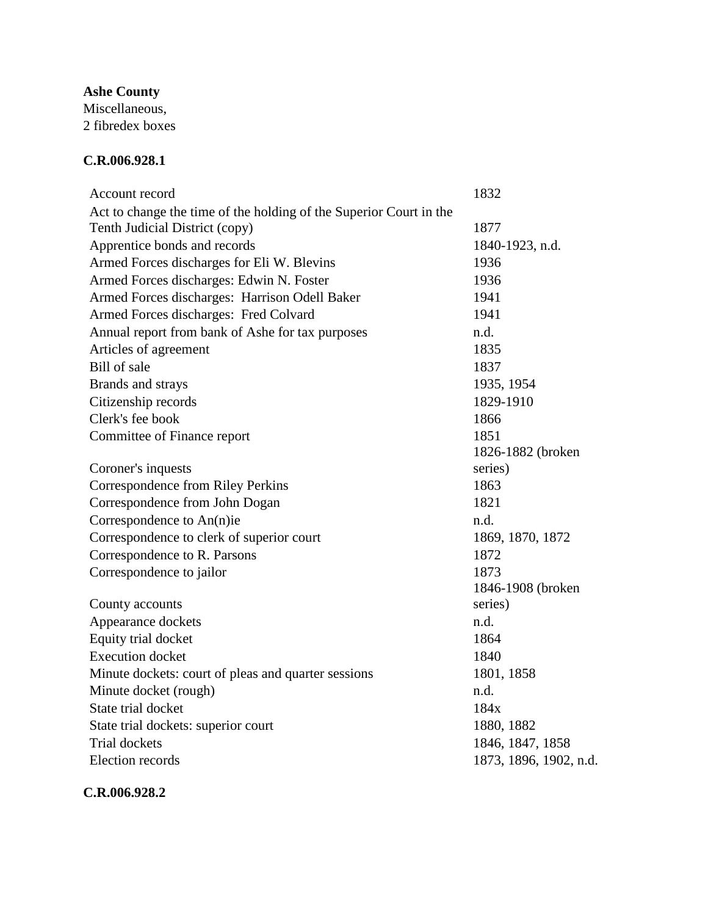**Ashe County**

Miscellaneous, 2 fibredex boxes

## **C.R.006.928.1**

| Account record                                                     | 1832                   |
|--------------------------------------------------------------------|------------------------|
| Act to change the time of the holding of the Superior Court in the |                        |
| Tenth Judicial District (copy)                                     | 1877                   |
| Apprentice bonds and records                                       | 1840-1923, n.d.        |
| Armed Forces discharges for Eli W. Blevins                         | 1936                   |
| Armed Forces discharges: Edwin N. Foster                           | 1936                   |
| Armed Forces discharges: Harrison Odell Baker                      | 1941                   |
| Armed Forces discharges: Fred Colvard                              | 1941                   |
| Annual report from bank of Ashe for tax purposes                   | n.d.                   |
| Articles of agreement                                              | 1835                   |
| Bill of sale                                                       | 1837                   |
| Brands and strays                                                  | 1935, 1954             |
| Citizenship records                                                | 1829-1910              |
| Clerk's fee book                                                   | 1866                   |
| Committee of Finance report                                        | 1851                   |
|                                                                    | 1826-1882 (broken      |
| Coroner's inquests                                                 | series)                |
| <b>Correspondence from Riley Perkins</b>                           | 1863                   |
| Correspondence from John Dogan                                     | 1821                   |
| Correspondence to An(n)ie                                          | n.d.                   |
| Correspondence to clerk of superior court                          | 1869, 1870, 1872       |
| Correspondence to R. Parsons                                       | 1872                   |
| Correspondence to jailor                                           | 1873                   |
|                                                                    | 1846-1908 (broken      |
| County accounts                                                    | series)                |
| Appearance dockets                                                 | n.d.                   |
| Equity trial docket                                                | 1864                   |
| <b>Execution</b> docket                                            | 1840                   |
| Minute dockets: court of pleas and quarter sessions                | 1801, 1858             |
| Minute docket (rough)                                              | n.d.                   |
| State trial docket                                                 | 184x                   |
| State trial dockets: superior court                                | 1880, 1882             |
| <b>Trial dockets</b>                                               | 1846, 1847, 1858       |
| <b>Election</b> records                                            | 1873, 1896, 1902, n.d. |
|                                                                    |                        |

**C.R.006.928.2**